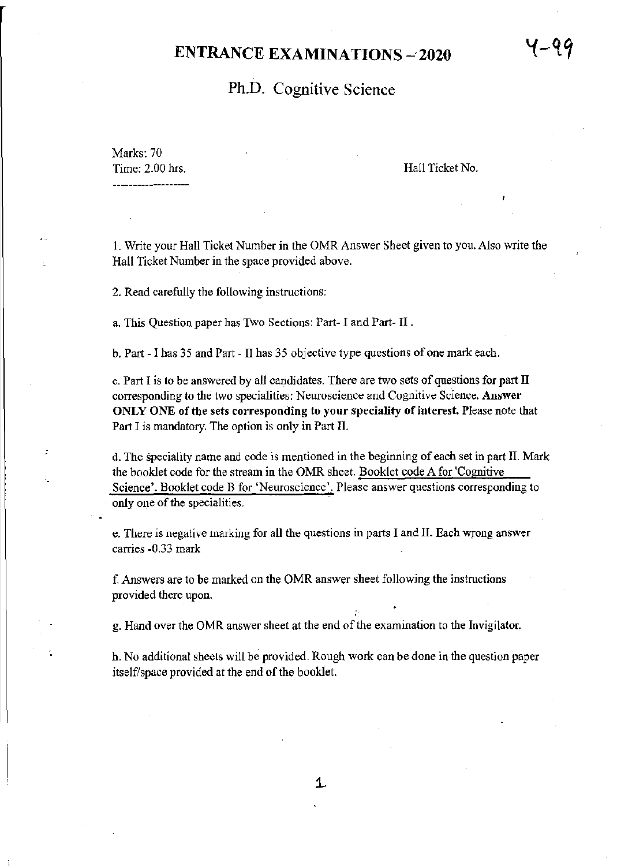# **ENTRANCE EXAMINATIONS - 2020**

# Ph.D. Cognitive Science

Marks: 70 Time: 2.00 hrs.

 $\overline{1}$ 

Hall Ticket No.

I. Write your Hall Ticket Number in the OMR Answer Sheet given to you. Also write the Hall Ticket Number in the space provided above.

2. Read carefully the following instructions:

a. This Question paper has Two Sections: Part- I and Part- II .

h. Part - I has 35 and Part - II has 35 objective type questions of one mark each.

c. Part I is to be answered by all candidates. There are two sets of questions for part II corresponding to the two specialities: Neuroscience and Cognitive Science. Answer ONLY ONE of the sets corresponding to your speciality of interest. Please note that Part I is mandatory. The option is only in Part II.

d. The speciality name and code is mentioned in the beginning of each set in part II. Mark the booklet code for the stream in the OMR sheet. Booklet code A for 'Cognitive , Science'. Booklet code B for 'Neuroscience'. Please answer questions corresponding to only one of the specialities.

e. There is negative marking for all the questions in parts I and II. Each wrong answer carries -0.33 mark

f. Answers are to be marked on the OMR answer sheet following the instructions provided there upon.

g. Hand over the OMR answer sheet at the end of the examination to the Invigilator.

h. No additional sheets will be provided. Rough work can be done in the question paper itself/space provided at the end of the booklet.

•

4-44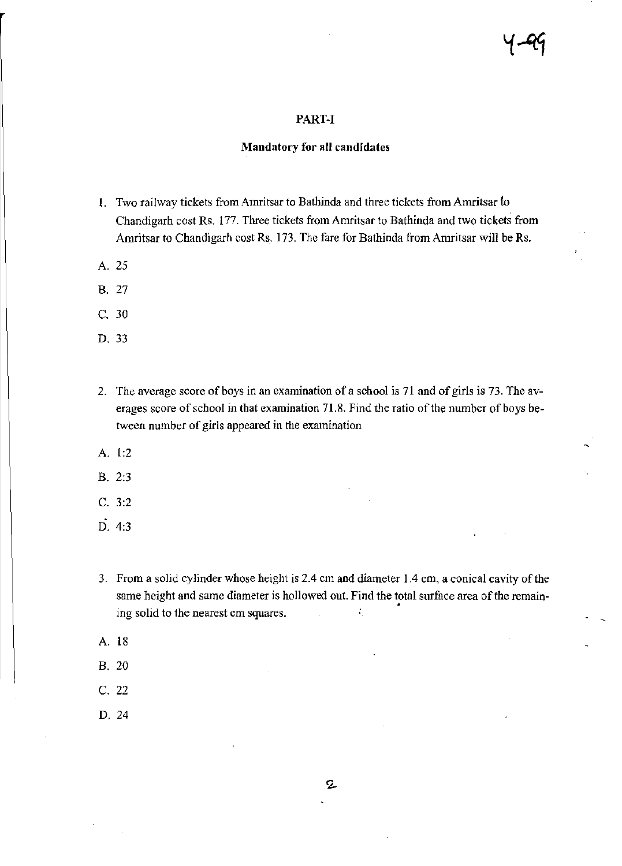#### PART-I

### **Mandatory for all candidates**

- 1. Two railway tickets from Amritsar to Bathinda and three tickets from Amritsar to Chandigarh cost Rs. 177. Three tickets from Amritsar to Bathinda and two tickets from Amritsar to Chandigarh cost Rs. 173. The fare for Bathinda from Amritsar will be Rs.
- A.25
- B. 27
- C. 30
- D.33
- 2. The average score of boys in an examination of a school is 71 and of girls is 73. The averages score of school in that examination 71.8. Find the ratio of the number of boys between number of girls appeared in the examination
- A. 1:2
- B. 2:3
- C. 3:2
- D.4:3
- 3. From a solid cylinder whose height is 2.4 em and diameter 1.4 em, a conical cavity of the same height and same diameter is hollowed out. Find the total surface area of the remain- • ing solid to the nearest em squares.  $\tilde{\mathcal{C}}_1$
- A. 18
- B. 20
- C. 22
- D.24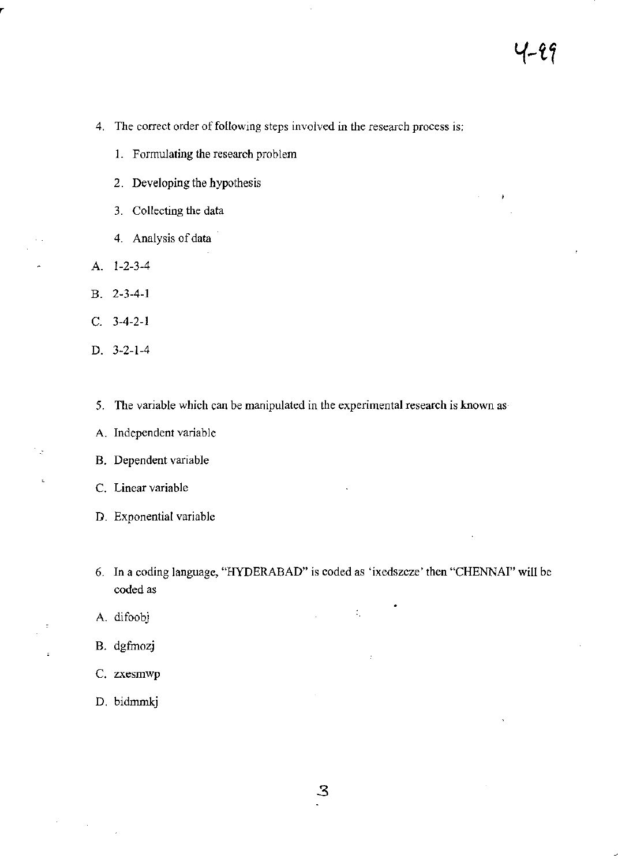- **4. The correct order** of following **steps involved in the research process is:** 
	- **1. Formulating the research problem**
	- **2. Developing the hypothesis**
	- **3. Collecting the data**
	- **4. Analysis of data**
- A. 1-2-3-4
- B. 2-3-4-1
- C. 3-4-2-1
- D. 3-2-1-4

- 2

J.

- **5. The variable which can be manipulated in the experimental research is known as**
- **A. Independent variable**
- **B. Dependent variable**
- **C. Linear variable**
- **D. Exponential variable**
- 6. In a coding language, "HYDERABAD" is coded as 'ixedszcze' then "CHENNAI" will be **coded as**

 $\ddot{\psi}_i$ 

- A. difoobj
- B. dgfmozj
- **C. zxesmwp**
- D. bidmmkj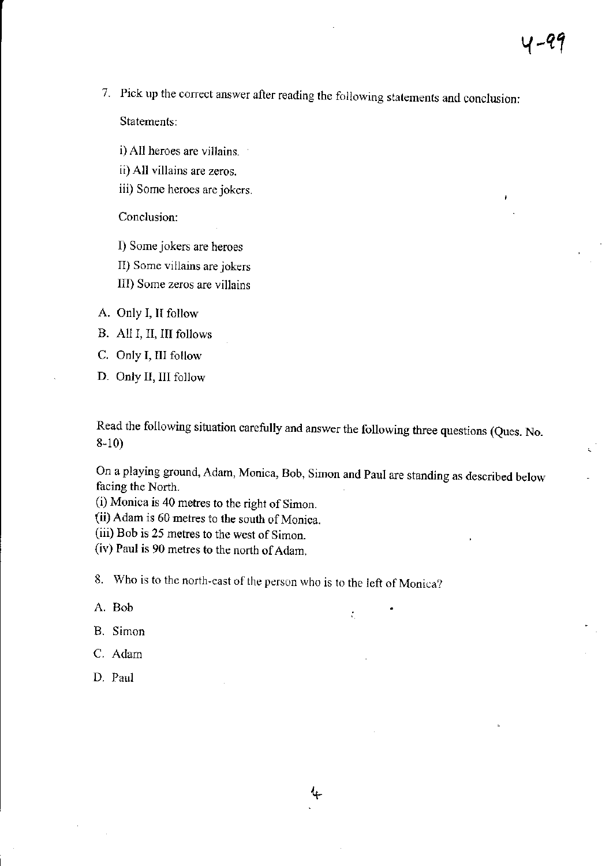7. Pick up the correct answer after reading the following statements and conclusion:

Statements:

i) All heroes are villains.

ii) All villains are zeros.

iii) Some heroes are jokers.

Conclusion:

I) Some jokers are heroes

II) Some villains are jokers

III) Some zeros are villains

A. Only I, II follow

B. All I, II, III follows

C. Only I, III follow

D. Only II, III follow

Read the following situation carefully and answer the following three questions (Ques. No. 8-10)

On a playing ground, Adam, Monica, Bob, Simon and Paul are standing as described below facing the North.

÷,

(i) Monica is 40 metres to the right of Simon.

(ii) Adam is 60 metres to the south of Monica.

(iii) Bob is 25 metres to the west of Simon.

(iv) Paul is 90 metres to the north of Adam.

8. Who is to the north-cast of the person who is to the left of Monica?

A. Bob

B. Simon

C. Adam

D. Paul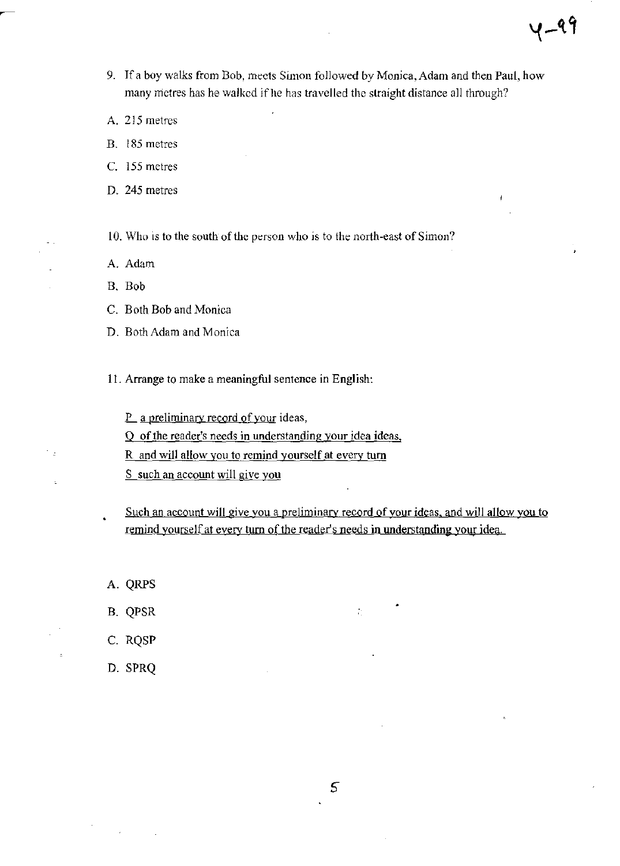- 9. If a boy walks from Bob, meets Simon followed by Monica, Adam and then Paul, how many metres has he walked if he has travelled the straight distance all through?
- A. 215 metres
- B. 185 metres
- C. 155 metres
- D. 245 metres

10. Who is to the south of the person who is to the north-east of Simon?

- A. Adam
- B. Bob
- C. Both Bob and Monica
- D. Both Adam and Monica
- 11. Arrange to make a meaningful sentence in English:

P\_a preliminary record of your ideas,

Q of the reader's needs in understanding your idea ideas.

R and will allow you to remind yourself at every turn

S such an account will give you

Such an account will give you a preliminary record of your ideas. and will allow you to remind yourself at every turn of the reader's needs in understanding your idea.

 $\mathcal{L}_{\mathcal{L}}$ 

*5* 

A. QRPS

٠.

- B. QPSR
- c. RQSP
- D. SPRQ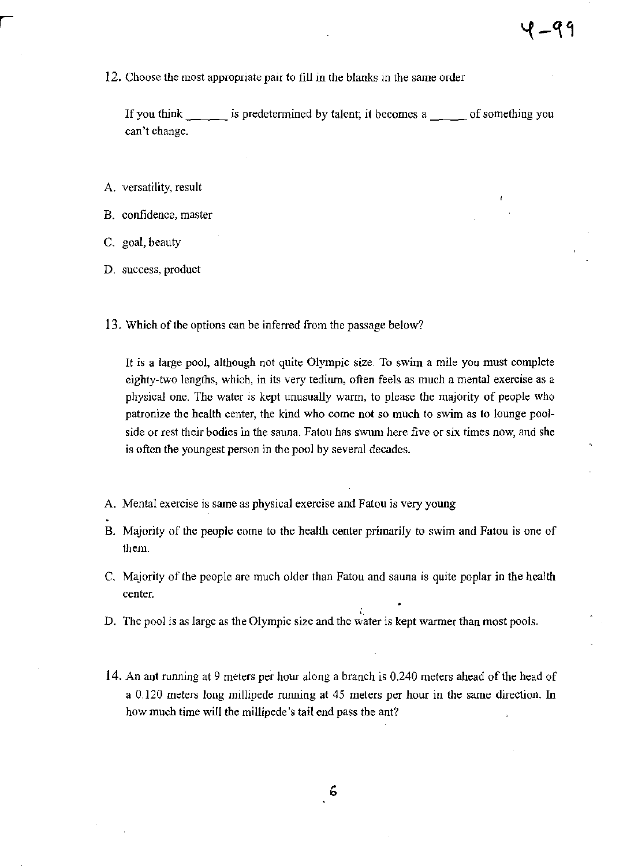12. Choose the most appropriate pair to fill in the blanks in the same order

If you think \_\_\_\_ is predetermined by talent; it becomes a \_\_\_ of something you can't change.

- A. versatility, result
- B. confidence, master
- c. goal, beauty
- D. success, product
- 13. Which of the options can be inferred from the passage below?

It is a large pool, although not quite Olympic size. To swim a mile you must complete eighty-two lengths, which, in its very tedium, often feels as much a mental exercise as a physical one. The water is kept unusually warm, to please the majority of people who patronize the health center, the kind who come not so much to swim as to lounge poolside or rest their bodies in the sauna. Fatou has swum here five or six times now, and she is often the youngest person in the pool by several decades.

- A. Mental exercise is same as physical exercise and Fatou is very young
- B. Majority of the people come to the health center primarily to swim and Fatou is one of them.
- C. Majority of the people are much older than Fatou and sauna is quite poplar in the health center.
- D. The pool is as large as the Olympic size and the water is kept warmer than most pools.
- 14. An ant running at 9 meters per hour along a branch is 0.240 meters ahead of the head of a 0.120 meters long millipede running at 45 meters per hour in the same direction. In how much time will the millipede's tail end pass the ant?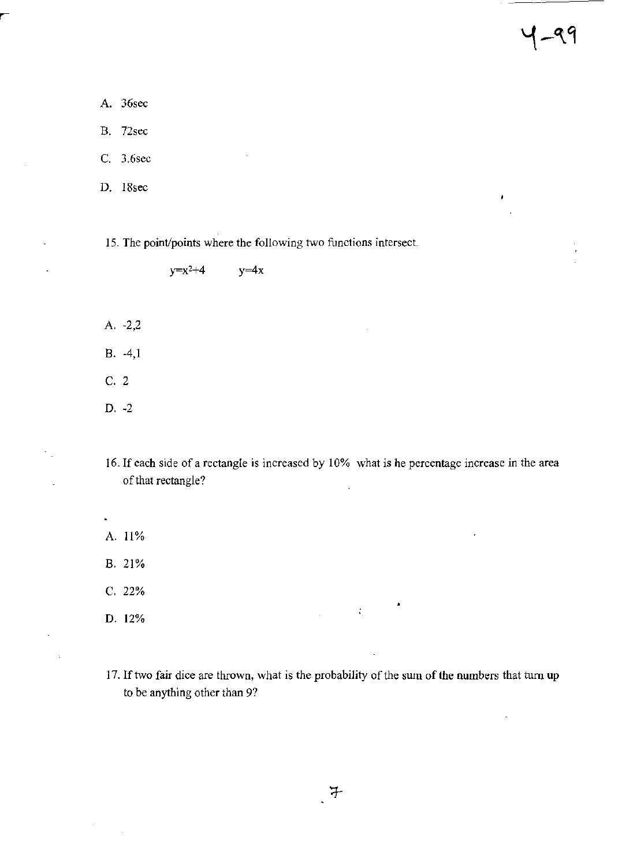$\mathbf{r}$ 

A. 36sec B. 72sec C. 3.6sec

D. 18sec

15. The point/points where the following two functions intersect.

 $y=x^2+4$  $y=4x$ 

A. ·2.2

B. ·4.1

c. 2

D. ·2

16. If each side of a rectangle is increased by 10% what is he percentage increase in the area of that rectangle?

A. 11%

B. 21%

C, 22%

D. 12%

17. If two fair dice are thrown, what is the probability of the sum of the numbers that turn up to be anything other than 97

 $\mathbf{r}$ 

 $\sim 1$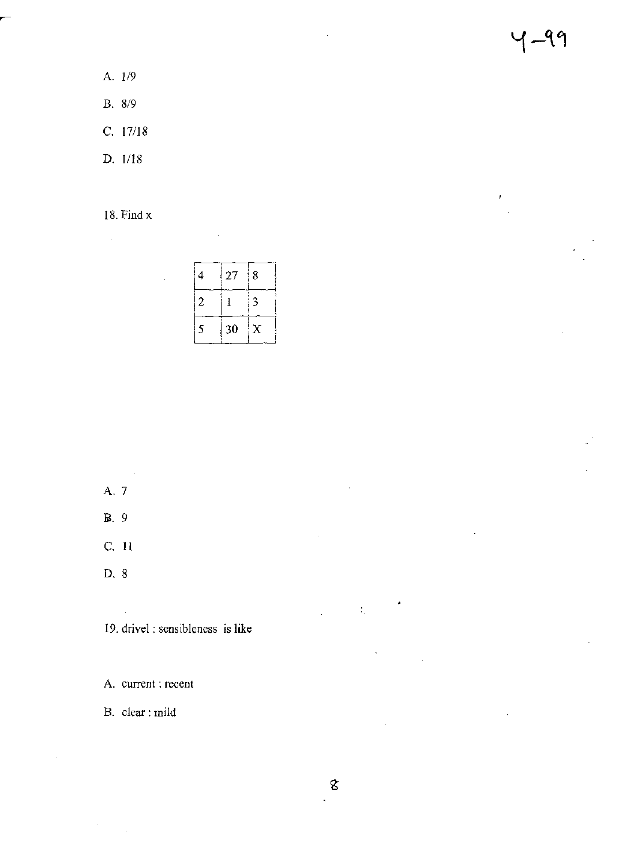$4 - 99$ 

 $\pmb{\epsilon}$ 

- A. 1/9
- B. 8/9
- c. 17/18
- D. 1118

18. Find x

 $\hat{\mathcal{A}}$ 

|   | 27 | 8 |
|---|----|---|
| 2 |    | 3 |
| 5 | 30 | X |

A. 7

 $\sim$   $\sim$ 

- lil. 9
- c. II
- D. 8

**19. drivel: sensibleness is like** 

A. **current: recent** 

**B. clear: mild** 

 $\bar{z}$ 

 $\bar{z}$ 

l,

•

 $\sim 30$ 

 $\frac{1}{2}$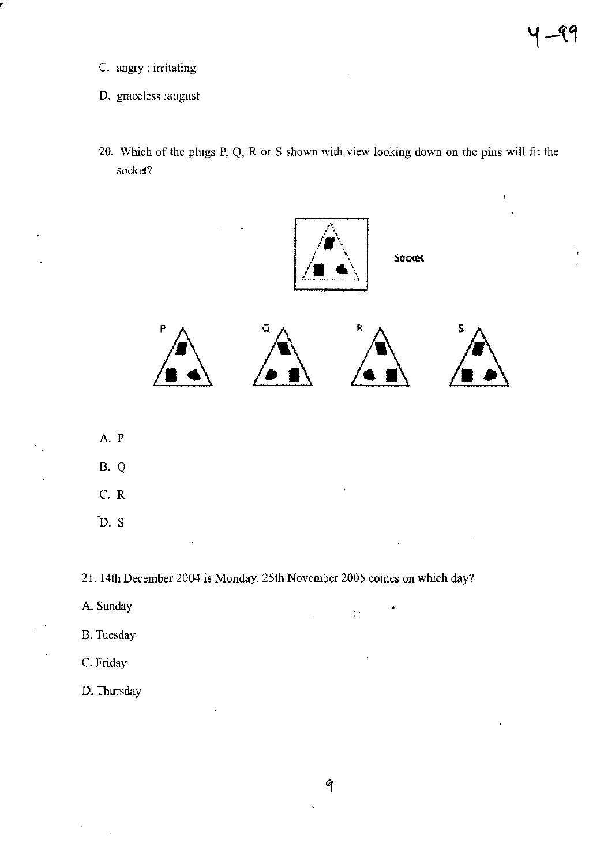- **C. angry: irritating**
- **D. graceless :august**
- **20. Which of the plugs P, Q, ·R or S shown with view looking dovm on the pins will fit the socket?**



21. 14th December 2004 is Monday. 25th November 2005 comes on which day?

- A. Sunday
- B. Tuesday
- C. Friday

D. Thursday

 $\mathcal{L}^{\mathcal{A}}$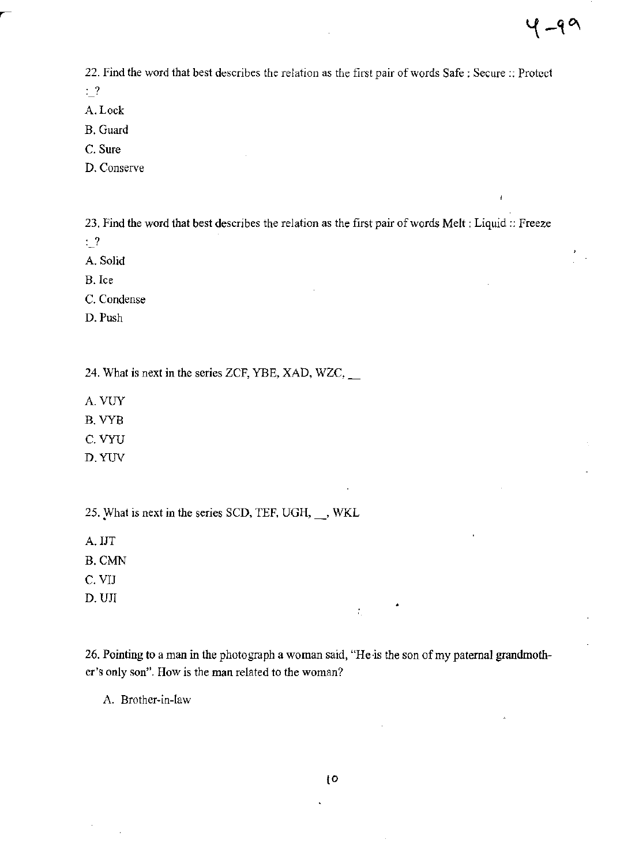ł

22. Find the word that best describes the relation as the first pair of words Safe: Secure :: Protect

: ?

- A.Lock
- B.Guard
- C. Sure
- D. Conserve

23. Find the word that best describes the relation as the first pair of words Melt: Liquid:: Freeze

- : ?
- A. Solid
- B. Ice
- C. Condense
- D. Push

24. What is next in the series ZCF, YBE, XAD, WZC, \_

- A. VUY
- B.VYB
- C.VYU
- D.YUV

25. What is next in the series SCD, TEF, UGH, WKL

- A.lIT
- B.CMN
- C. VlJ
- D. UJI

26. Pointing to a man in the photograph a woman said, "He is the son of my paternal grandmother's only son". How is the man related to the woman?

•

 $\mathcal{L}_\mathrm{c}$ 

A. Brother-in-law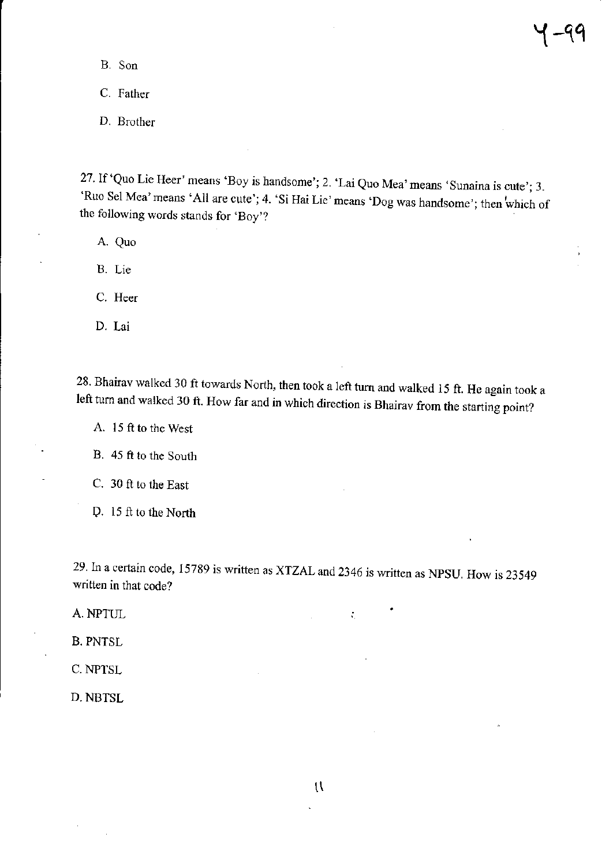B. Son

C. Father

D. Brother

27. If 'Quo Lie Reer' means 'Boy is handsome'; 2. 'Lai Quo Mea' means 'Sunaina is cute'; 3. 'Ruo Sel Mea' means 'All are cute'; 4. 'Si Hai Lie' means 'Dog was handsome'; then which of the following words stands for 'Boy'?

A. Quo

B. Lie

C. Heer

D. Lai

28. Bhairav walked 30 ft towards North, then took a left turn and walked 15 ft. He again took a left turn and walked 30 ft. How far and in which direction is Bhairav from the starting point?

A. 15 ft to the West

B. 45 ft to the South

C. 30 ft to the East

O. 15 ft to the North

29. In a certain code, 15789 is written as XTZAL and 2346 is written as NPSU. How is 23549 written in that code?

÷,

A.NPTUL

B. PNTSL

C.NPTSL

D.NBTSL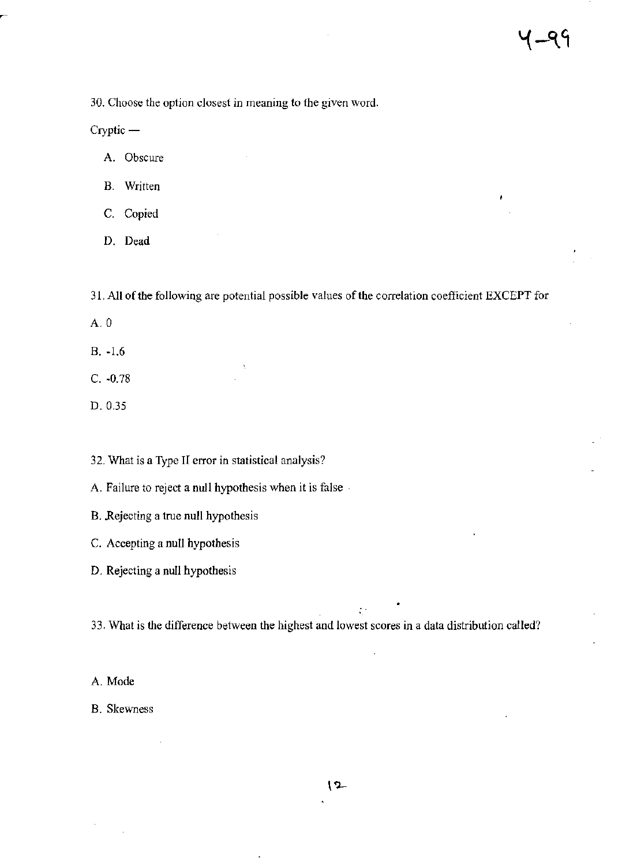30. Choose the option closest in meaning to the given word.

 $Cryptic -$ 

A. Obscure

B. Written

C. Copied

D. Dead

31. All of the following are potential possible values of the correlation coefficient EXCEPT for

A.O

B. -1.6

C. -0.78

D. 0.35

32. What is a Type II error in statistical analysis?

A. Failure to reject a null hypothesis when it is false·

B. Rejecting a true null hypothesis

C. Accepting a null hypothesis

D. Rejecting a null hypothesis

33. What is the difference between the highest and lowest scores **in** a data distribution called?

÷.

A. Mode

B. Skewness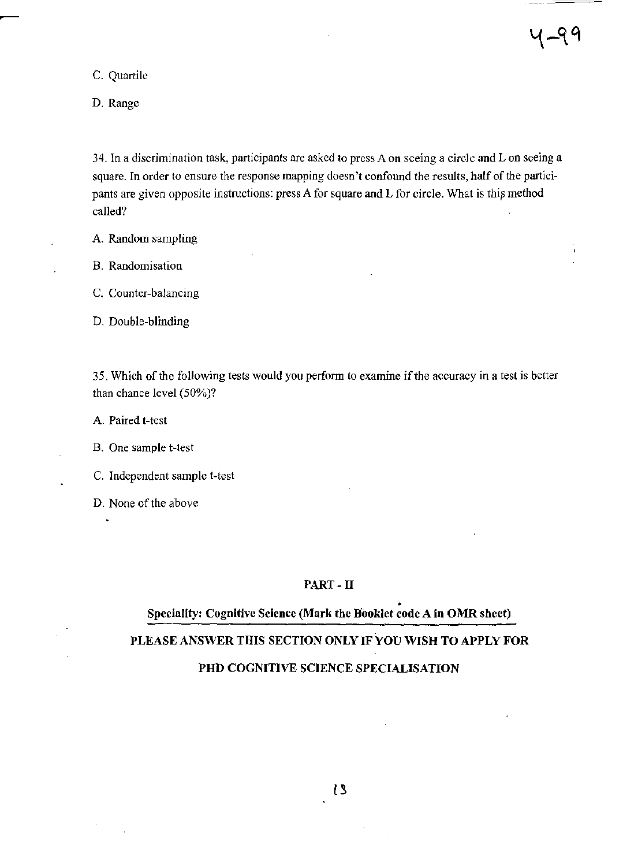C. Quartile

D. Range

34. In a discrimination task, participants are asked to press A on seeing a circle and L on seeing a square. In order to ensure the response mapping doesn't confound the results, half of the participants are given opposite instructions: press A for square and L for circle. What is this method called?

A. Random sampling

B. Randomisation

c. Counter-balancing

D. Double-blinding

35. Which of the following tests would you perfonn to examine if the accuracy in a test is better than chance level (50%)?

A. Paired t-test

B. One sample t-test

c. Independent sample t-test

D. None of the above

#### PART - II

#### • Speciality: Cognitive Science (Mark the Booklet code A in OMR sheet)

### PLEASE ANSWER THIS SECTION ONLY IF YOU WISH TO APPLY FOR

## PHD COGNITIVE SCIENCE SPECIALISATION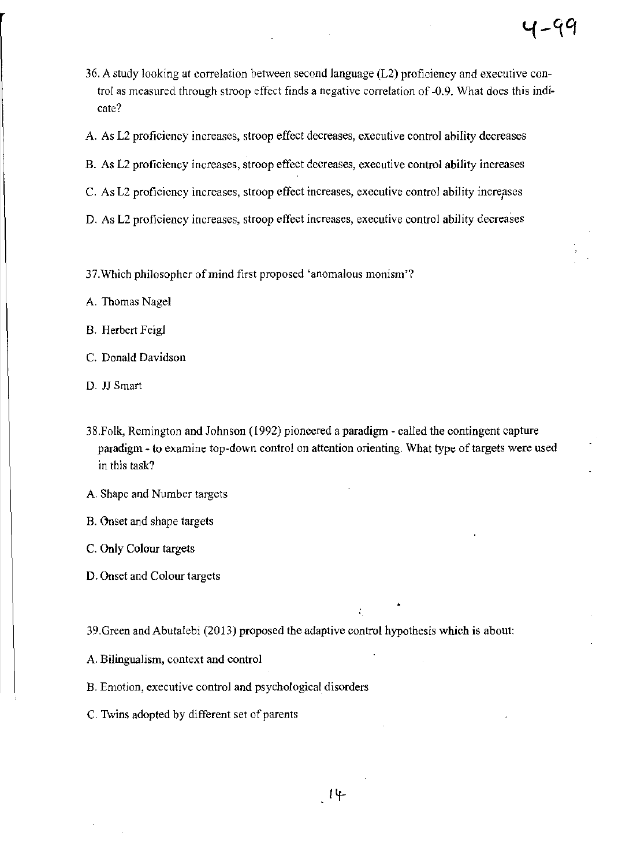- 36. A study looking at correlation between second language (L2) proficiency and executive control as measured through stroop effect finds a negative correlation of -0.9. What does this indicate?
- A. As L2 proficiency increases, stroop effect decreases, executive control ability decreases
- B. As L2 proficiency increases, stroop effect decreases, executive control ability increases
- C. As L2 proficiency increases, stroop effect increases, executive control ability increases
- D. As L2 proficiency increases, stroop effect increases, executive control ability decreases
- 37.Which philosopher of mind first proposed 'anomalous monism'?
- A. Thomas Nagel
- B. Herbert Feigl
- C. Donald Davidson
- D. JJ Smart
- 38.Folk, Remington and Johnson (1992) pioneered a paradigm called the contingent capture paradigm - to examine top-down control on attention orienting. What type of targets were used in this task?
- A. Shape and Number targets
- B. Onset and shape targets
- C. Only Colour targets
- D. Onset and Colour targets
- 39.Green and Abutalebi (2013) proposed the adaptive control hypothesis which is about:
- A. Bilingualism, context and control
- B. Emotion, executive control and psychological disorders
- C. Twins adopted by different set of parents

4-99

•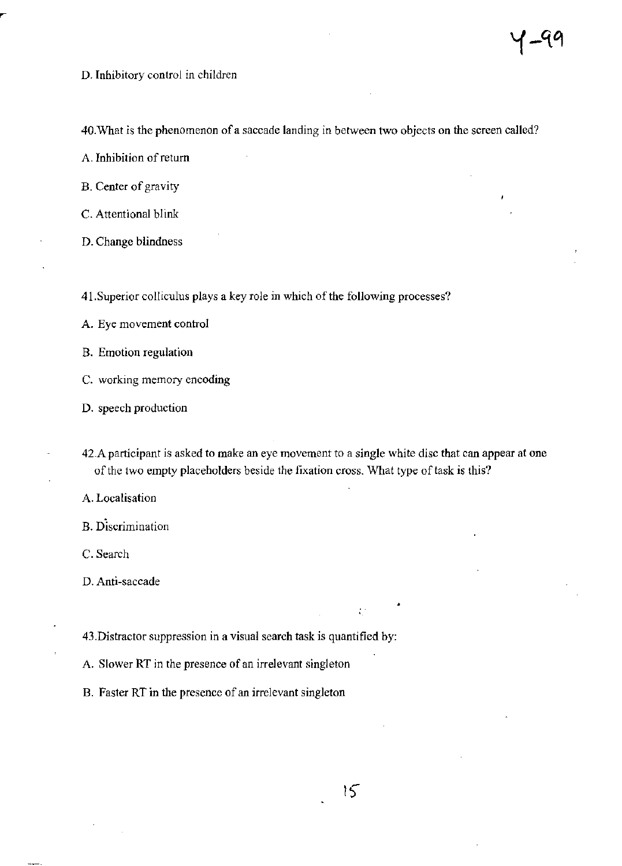D. Inhibitory control in children

40. What is the phenomenon of a saccade landing in between two objects on the screen called?

A. Inhibition of return

B. Center of gravity

c. Attentional blink

D. Change blindness

41.Superior colliculus plays a key role in which of the following processes?

A. Eye movement control

B. Emotion regulation

C. working memory encoding

D. speech production

42.A participant is asked to make an eye movement to a single white disc that can appear at one of the two empty placeholders beside the fixation cross. What type of task is this?

A. Localisation

B. Discrimination

c. Search

D. Anti-saccade

43.Distractor suppression in a visual search task is quantified by:

A. Slower RT in the presence of an irrelevant singleton

B. Faster RT in the presence of an irrelevant singleton

•

÷.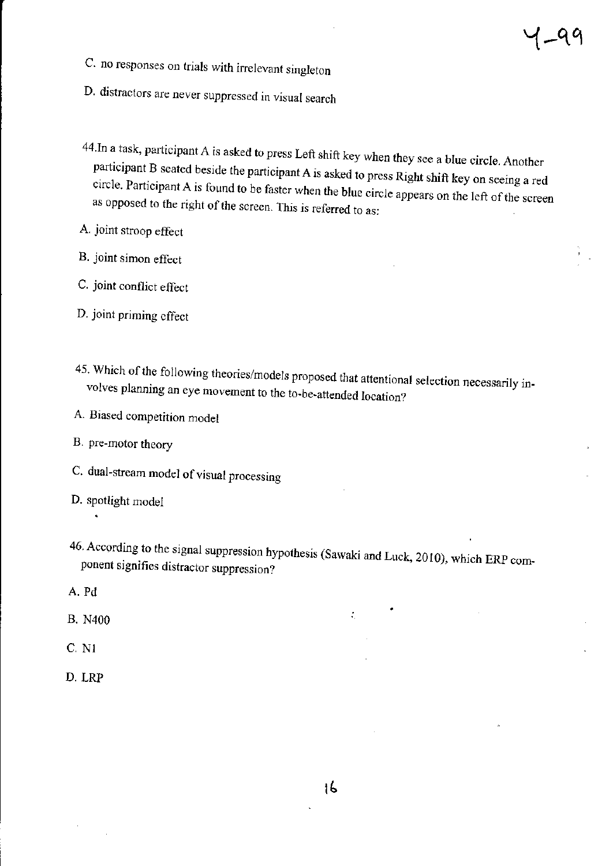- C. no responses on trials with irrelevant singleton
- D. distractors are never suppressed in visual search
- 44.In a task, participant A is asked to press Left shift key when they see a blue circle. Another participant B seated beside the participant A is asked to press Right shift key on seeing a red circle. Participant A is found to be faster when the blue circle appears on the left of the screen as opposed to the right of the screen. This is referred to as:
- A. joint stroop effect
- B. joint simon effect
- C. joint conflict effect
- D. joint priming effect
- 45. Which of the following theories/models proposed that attentional selection necessarily involves planning an eye movement to the to-be-attended location?
- A. Biased competition model
- B. pre-motor theory
- C. dual-stream model of visual processing
- D. spotlight model
- 46. According to the signal suppression hypothesis (Sawaki and Luck, 2010), which ERP component signifies distractor suppression?
- A. Pd
- B. N400
- C. Nl
- D.LRP

 $\mathcal{I}_{\mathcal{A}}$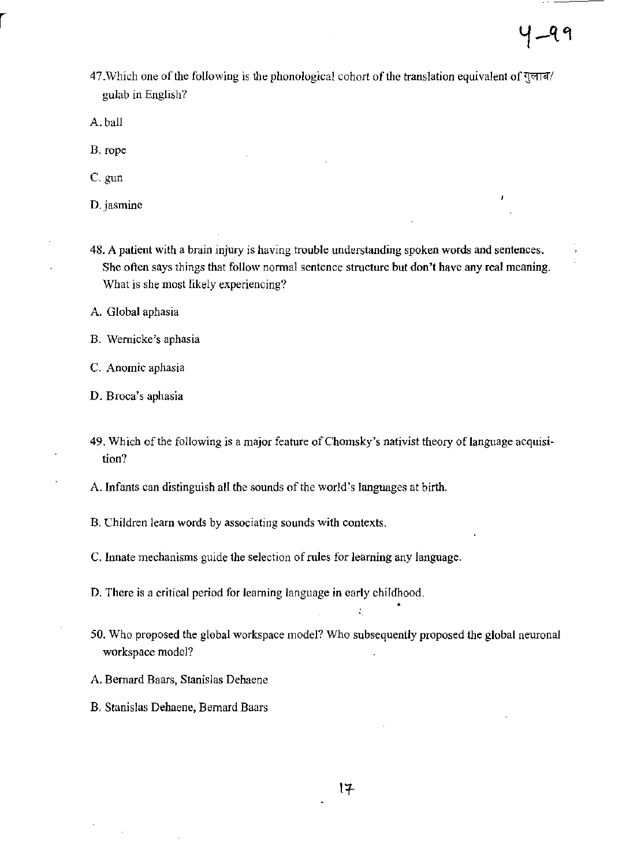47. Which one of the following is the phonological cohort of the translation equivalent of गुलाब/ gulab in English?

A. ball

B. rope

C.gun

D.jasmine

48. A patient with a brain injury is having trouble understanding spoken words and sentences. She often says things that follow normal sentence structure but don't have any real meaning. What is she most likely experiencing?

A. Global aphasia

B. Wernicke's aphasia

C. Anomie aphasia

D. Broca's aphasia

49. Which of the following is a major feature of Chomsky's nativist theory of language acquisition?

A. Infants can distinguish all the sounds of the world:s languages at birth.

B. Children learn words by associating sounds with contexts.

C. Innate mechanisms guide the selection of rules for learning any language.

D. There is a critical period for learning language in early childhood.

50. Who proposed the global workspace model? Who subsequently proposed the global neuronal workspace model?

•

A. Bernard Baars, Stanislas Dehaene

B. Stanislas Dehaene, Bernard Baars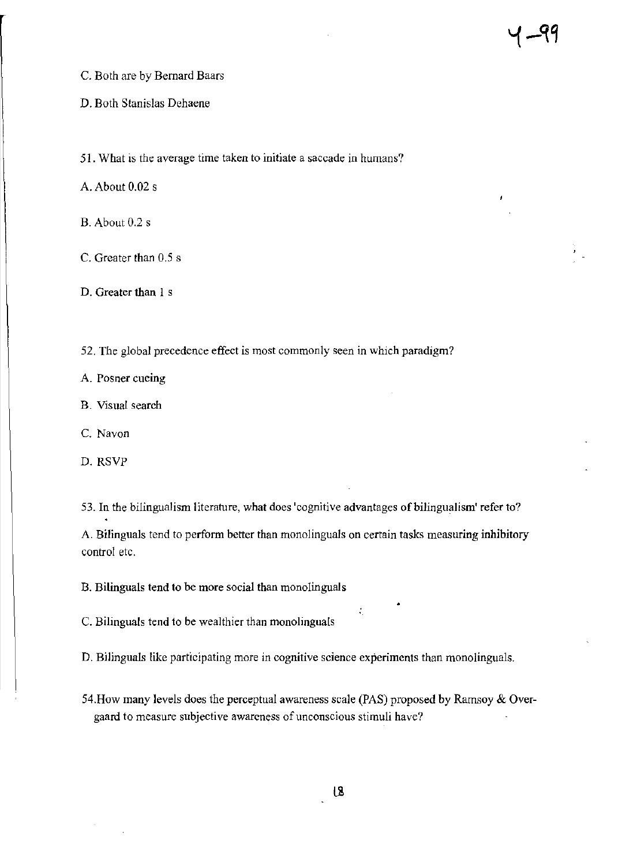- C. Both are by Bernard Baars
- D. Both Stanislas Dehaene
- 51. What is the average time taken to initiate a saccade in humans?
- A. About 0.02 s
- B. About 0.2 s
- C. Greater than 0.5 s
- D. Greater than 1 s
- 52. The global precedence effect is most commonly seen in which paradigm?
- A. Posner cueing
- B. Visual search
- C. Navon
- D. RSVP
- 53. **In** the bilingualism literature, what does 'cognitive advantages of bilingualism' refer to?

A. Bilinguals tend to perform better than monolinguals on certain tasks measuring inhibitory control etc.

B. Bilinguals tend to be more social than monolinguals

C. Bilinguals tend to be wealthier than monolinguals

D. Bilinguals like participating more in cognitive science experiments than monolinguals.

54.How many levels does the perceptual awareness scale (PAS) proposed by Ramsoy & Overgaard to measure subjective awareness of unconscious stimuli have?

•

 $\mathcal{I}_\mu$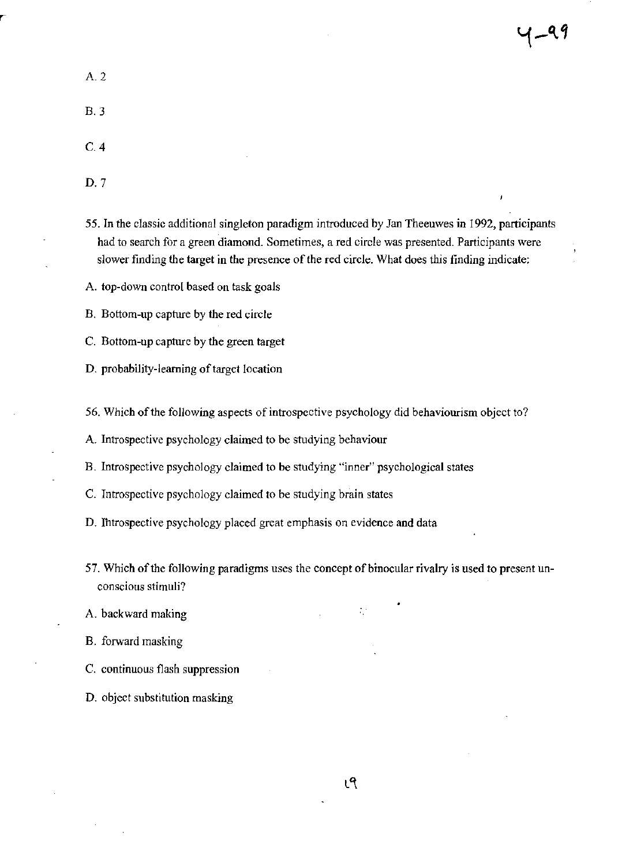1-99

A.2

B.3

- C.4
- D.7
- 55. In the classic additional singleton paradigm introduced by Jan Theeuwes in 1992, participants had to search for a green diamond. Sometimes, a red circle was presented. Participants were slower finding the target in the presence of the red circle. What does this finding indicate:
- A. top-down control based on task goals
- B. Bottom-up capture by the red circle
- c. Bottom-up capture by the green target
- D. probability-learning of target location
- 56. Which of the following aspects of introspective psychology did behaviourism object to?
- A. Introspective psychology claimed to be studying behaviour

B. Introspective psychology claimed to be studying "inner" psychological states

- C. Introspective psychology claimed to be studying brain states
- D. Ibtrospective psychology placed great emphasis on evidence and data
- 57. Which of the following paradigms uses the concept of binocular rivalry is used to present unconscious stimuli?
- A. backward making
- B. forward masking
- C. continuous flash suppression
- D. object substitution masking

÷.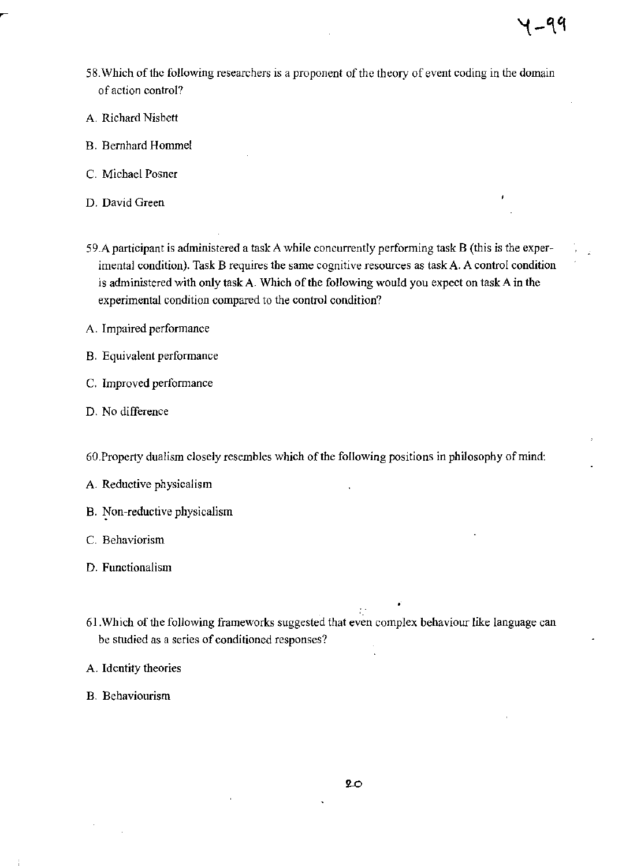- 58.Which of the following researchers is a proponent of the theory of event coding in the domain of action control?
- A. Richard Nisbett
- B. Bernhard Hommel
- C. Michael Posner
- D. David Green
- 59.A participant is administered a task A while concurrently performing task B (this is the experimental condition). Task B requires the same cognitive resources as task A. A control condition is administered with only task A. Which of the following would you expect on task A in the experimental condition compared to the control condition?
- A. Impaired performance
- B. Equivalent performance
- C. Improved performance
- D. No difference
- 60. Property dualism closely resembles which of the following positions in philosophy of mind:
- A. Reductive physicalism
- B. Non-reductive physicalism
- C. Behaviorism
- D. Functionalism
- 61.Which of the following frameworks suggested that even complex behaviour like language can be studied as a series of conditioned responses?
- A. Identity theories
- B. Behaviourism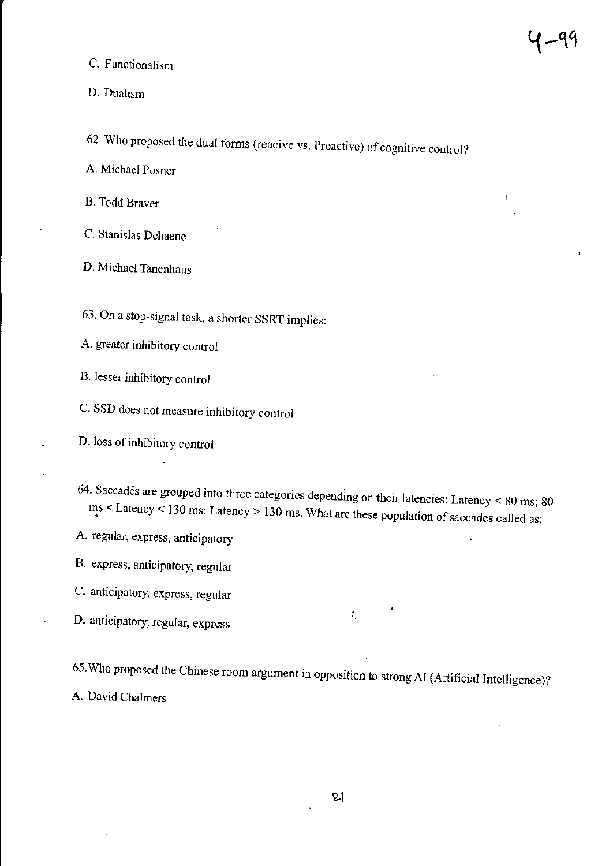C. Functionalism

D. Dualism

62. Who proposed the dual forms (reacive vs. Proactive) of cognitive control?

A. Michael Posner

B. Todd Braver

C. Stanislas Dehaene

D. Michael Tanenhaus

63. On a stop-signal task, a shorter SSRT implies:

A. greater inhibitory control

B. lesser inhibitory control

C. SSD does not measure inhibitory control

D. loss of inhibitory control

64. Saccades are grouped into three categories depending on their latencies: Latency  $< 80$  ms; 80  $ms <$  Latency < 130 ms; Latency > 130 ms. What are these population of saccades called as:

A regular, express, anticipatory

B. express, anticipatory, regular

C. anticipatory, express, regular

D. anticipatory, regular, express

65.Who proposed the Chinese room argument in opposition to strong AI (Artificial Intelligence)? A. David Chalmers

 $\mathcal{I}_\mathcal{I}$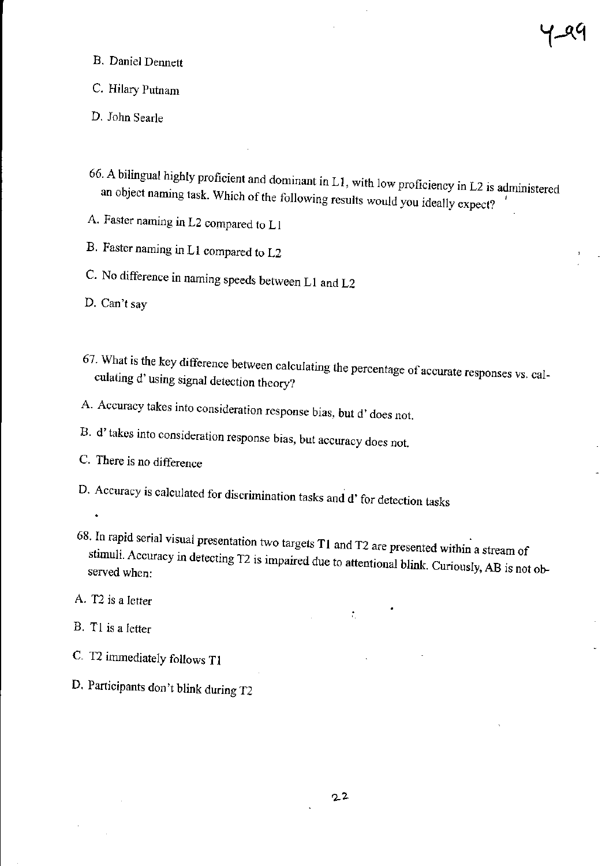- B. Daniel Dennett
- c. Hilary Putnam
- D. John Searle
- 66. A bilingual highly proficient and dominant in L 1, with low proficiency in L2 is administered an object naming task. Which of the following results would you ideally expect?
- A. Faster naming in L2 compared to LI
- B. Faster naming in Ll compared to L2
- C. No difference in naming speeds between Ll and L2
- D. Can't say
- 67. What is the key difference between calculating the percentage of accurate responses vs. calculating d' using signal detection theory?
- A. Accuracy takes into consideration response bias, but d' does not.
- B. d'takes into consideration response bias, but accuracy does not.
- C. There is no difference
- D, Accuracy is calculated for discrimination tasks and d' for detection tasks
- 68. In rapid serial visual presentation two targets **Tl** and T2 are presented within a stream of  $\epsilon$  accuracy in detecting T2 is impaired due to attentional blink. Curiously, AB is not observed when:
- A. T2 is a letter
- B. TI is a letter
- C. T2 immediately follows TI
- D. Participants don't blink during T2

 $\mathcal{I}_\mathrm{c}$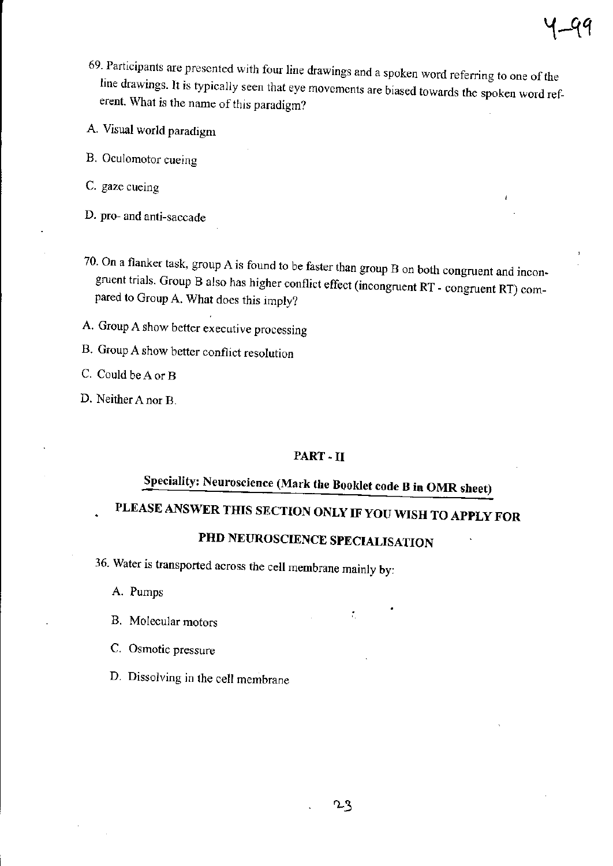- A. Visual world paradigm
- B. Oculomotor cueing
- C. gaze cueing
- D. pro- and anti-saccade
- 70. On a flanker task, group A is found to be faster than group B on both congruent and incongruent trials. Group B also has higher conflict effect (incongruent RT \_ congruent RT) compared to Group A. What does this imply?
- A. Group A show better executive processing
- B. Group A show better conflict resolution
- C. Could be A or B
- D. Neither A nor B.

## PART-II

# Speciality: Neuroscience (Mark the BQoklet code B in OMR sheet)

# PLEASE ANSWER THIS SECTION ONLY IF YOU WISH TO APPLY FOR

# PHD NEUROSCIENCE SPECIALISATION

36. Water is transported across the cell membrane mainly by:

A. Pumps

- B. Molecular motors
- c. Osmotic pressure
- D. Dissolving in the cell membrane

÷,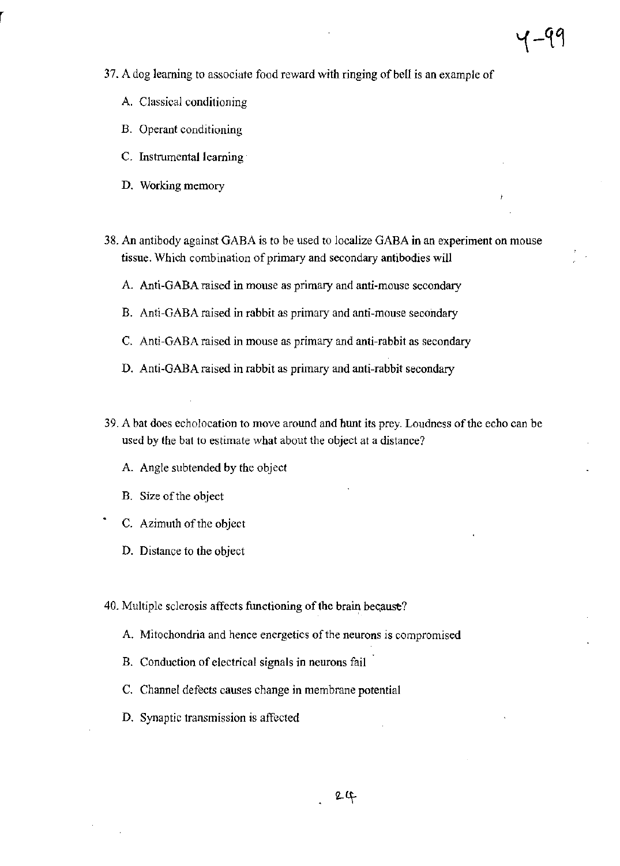- 37. A dog learning to associate food reward with ringing of bell is an example of
	- A. Classical conditioning
	- B. Operant conditioning
	- C. Instrumental learning
	- D. Working memory
- 38. An antibody against GABA is to be used to localize GABA **in** an experiment on mouse tissue. Which combination of primary and secondary antibodies will
	- A. Anti~GABA raised in mouse as primary and anti-mouse secondary
	- B. Anti-GABA raised in rabbit as primary and anti-mouse secondary
	- C. Anti-GABA raised in mouse as primary and anti-rabbit as secondary
	- D. Anti-GABA raised in rabbit as primary and anti-rabbit secondary
- 39. A bat does echolocation to move around and hunt its prey. Loudness ofthe echo can be used by the bat to estimate what about the object at a distance?
	- A. Angle subtended by the object
	- B. Size of the object
	- C. Azimuth of the object
	- D. Distance to the object
- 40. Multiple sclerosis affects functioning of the brain because?
	- A. Mitochondria and hence energetics of the neurons is compromised
	- B. Conduction of electrical signals in neurons fail
	- C. Channel defects causes change in membrane potential
	- D. Synaptic transmission is affected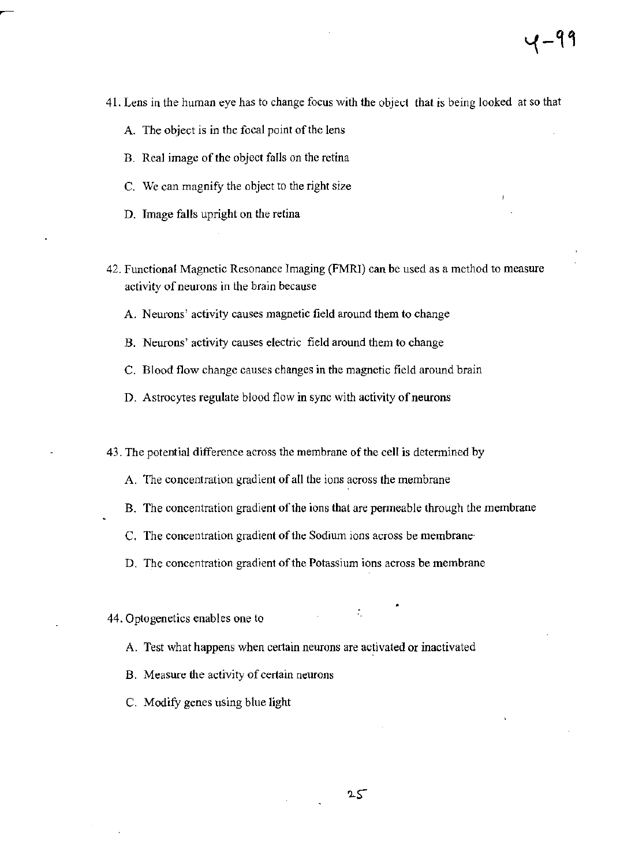- 41. Lens in the human eye has to change focus with the object that is being looked at so that
	- A. The object is in the focal point of the lens
	- B. Real image of the object falls on the retina
	- C. We can magnify the object to the right size
	- D. Image falls upright on the retina
- 42. Functional Magnetic Resonance Imaging (FMRl) can be used as a method to measure activity of neurons in the brain because
	- A. Neurons' activity causes magnetic field around them to change
	- B. Neurons' activity causes electric field around them to change
	- C. Blood flow change causes changes in the magnetic field around brain
	- D. Astrocytes regulate blood flow in sync with activity of neurons

43. The potential difference across the membrane of the cell is detennined by

- A. The concentration gradient of all the ions across the membrane
- B. The concentration gradient of the ions that are permeable through the membrane
- C. The concentration gradient of the Sodium ions across be membrane·
- D. The concentration gradient of the Potassium ions across be membrane

## 44. Optogenetics enables one to

- A. Test what happens when certain neurons are activated or inactivated
- B. Measure the activity of certain neurons
- c. Modify genes using blue light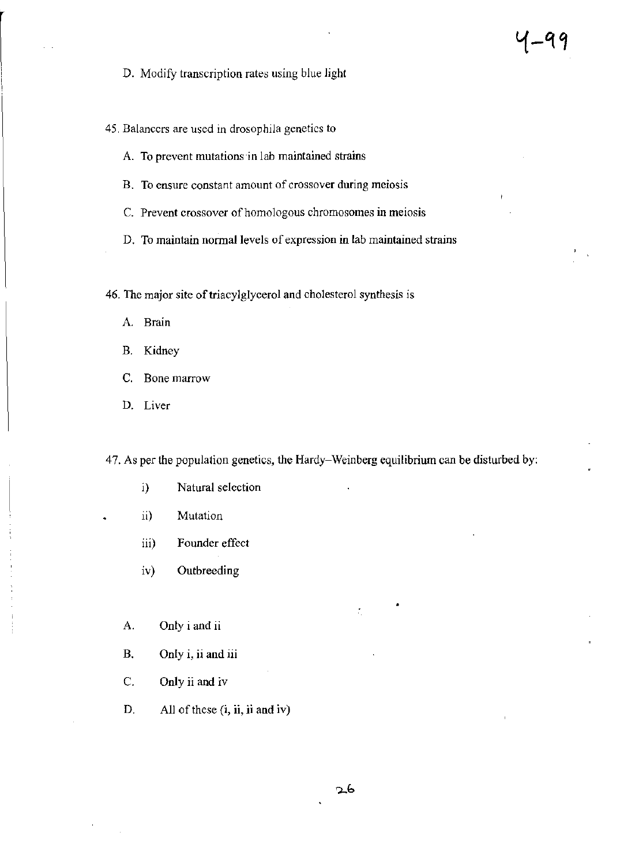D. Modify transcription rates using blue light

45. Balancers are used in drosophila genetics to

A. To prevent mutations in lab maintained strains

B. To ensure constant amount of crossover during meiosis

C. Prevent crossover of homologous chromosomes in meiosis

D. To maintain normal levels of expression in lab maintained strains

-99

46. The major site of triacylglycerol and cholesterol synthesis is

A. Brain

B. Kidney

C. Bone marrow

D. Liver

47. As per the population genetics, the Hardy-Weinberg equilibrium can be disturbed by:

- i) Natural selection
- ii) Mutation
- iii) Founder effect

iv) Outbreeding

A. Only i and ii

B. Only i, ii and iii

C. Only ii and iv

D. All of these (i, **ii,** ii and iv)

÷,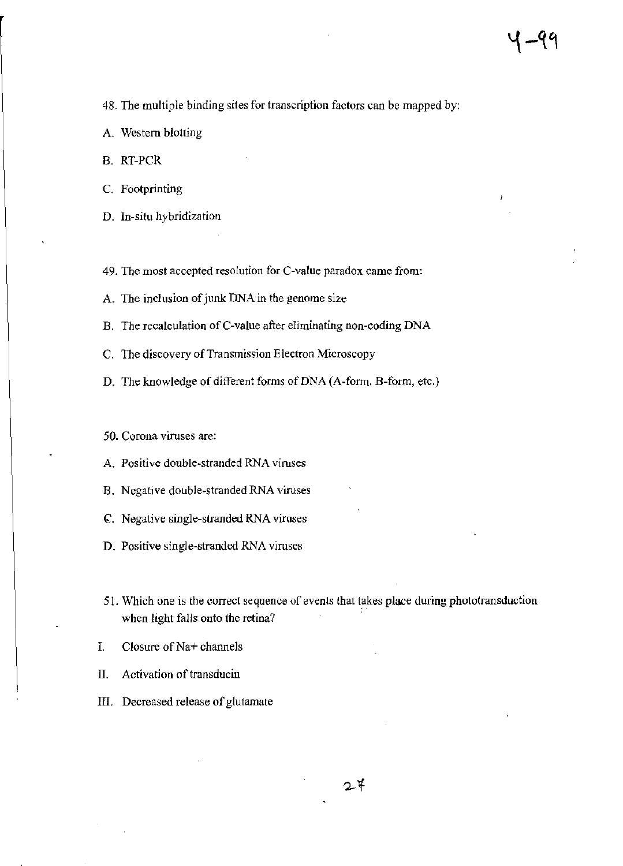48. The multiple binding sites for transcription factors can be mapped by:

- A. Western blotting
- B. RT-PCR
- C. Footprinting
- D. In-situ hybridization

49. The most accepted resolution for C-value paradox came from:

A. The inclusion of junk DNA in the genome size

B. The recalculation of C-value after eliminating non-coding DNA

- C. The discovery of Transmission Electron Microscopy
- D. The knowledge of different forms of DNA (A-form, B-form, etc.)

50. Corona viruses are:

- A. Positive double-stranded RNA viruses
- B. Negative double-stranded RNA viruses
- ~. Negative single-stranded RNA viruses
- D. Positive single-stranded RNA viruses
- 51. Which one is the correct sequence of events that takes place during phototransduction when light falls onto the retina?
- I. Closure of Na+ channels
- II. Activation of transducin
- III. Decreased release of glutamate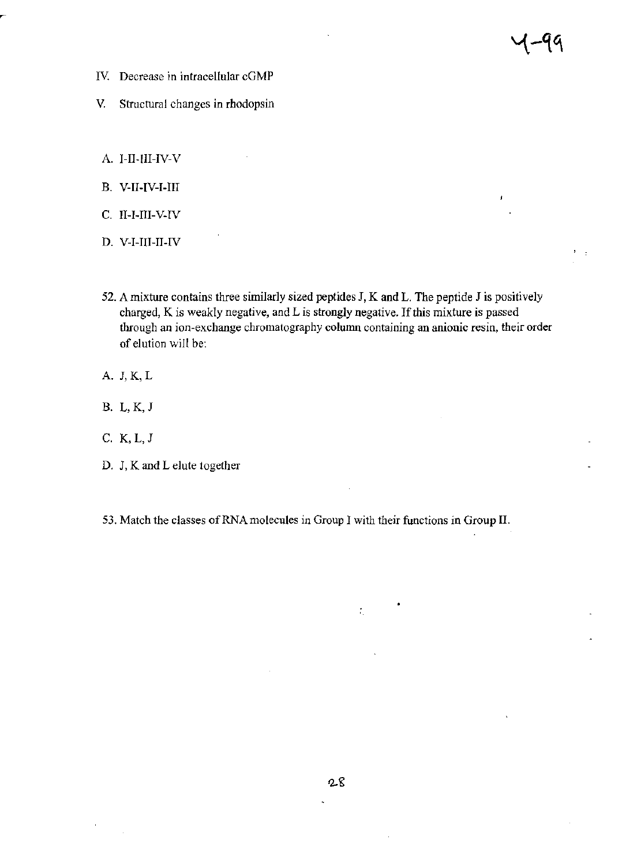- IV. Decrease in intracellular cGMP
- V. Structural changes in rhodopsin
- A. I-II-III-IV-V
- B. V-I1-IV-I-1II
- C. I1-I-III-V-1V
- D. V-I-III-II-IV
- 52. A mixture contains three similarly sized peptides J, K and L. The peptide J is positively charged, K is weakly negative, and L is strongly negative. If this mixture is passed through an ion-exchange chromatography column containing an anionic resin, their order of elution will be:

 $\mathbb{R}^2$ 

- A. J,K,L
- B. L,K,J
- C. K,L,J
- D. J, K and L elute together

53. Match the classes of RNA molecules in Group I with their functions in Group II.

÷,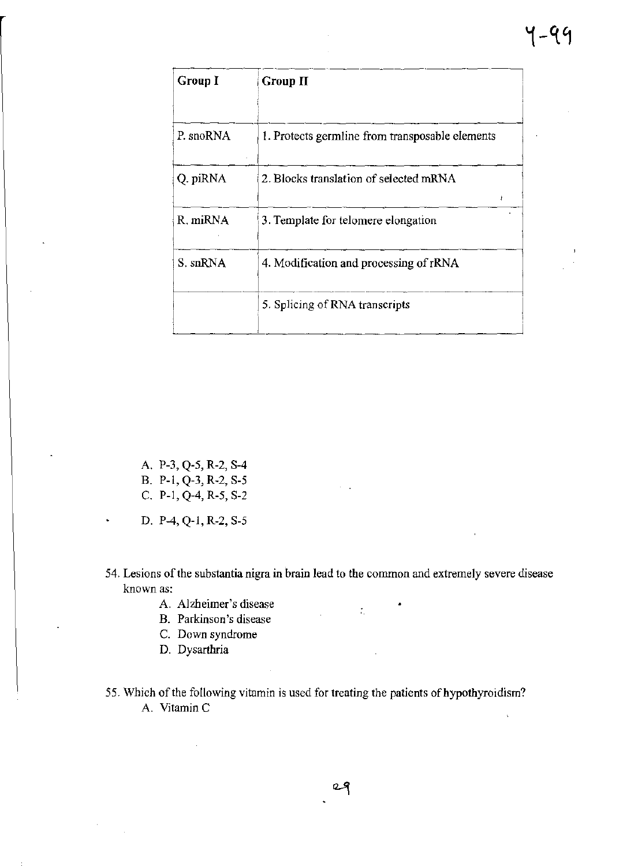| Group I   | Group II                                        |  |
|-----------|-------------------------------------------------|--|
| P. snoRNA | 1. Protects germline from transposable elements |  |
| Q. piRNA  | 2. Blocks translation of selected mRNA<br>ŧ     |  |
| R. miRNA  | 3. Template for telomere elongation             |  |
| S. snRNA  | 4. Modification and processing of rRNA          |  |
|           | 5. Splicing of RNA transcripts                  |  |

- A. P-3, *Q-S,* R-2, SA B. P-l, Q-3, R-2, S-S C. P-1, Q-4, R-5, S-2
- D. PA, Q-l, R-2, S-S
- **54. Lesions** of the **substantia nigra in brain lead to the common and extremely severe disease known as:**

 $\tilde{\psi}_k$ 

- A. **Alzheimer's disease**
- **B. Parkinson's disease**
- **C. Down syndrome**
- D. Dysarthria
- 55. Which of the following vitamin is used for treating the patients of hypothyroidism? **A. VitaminC**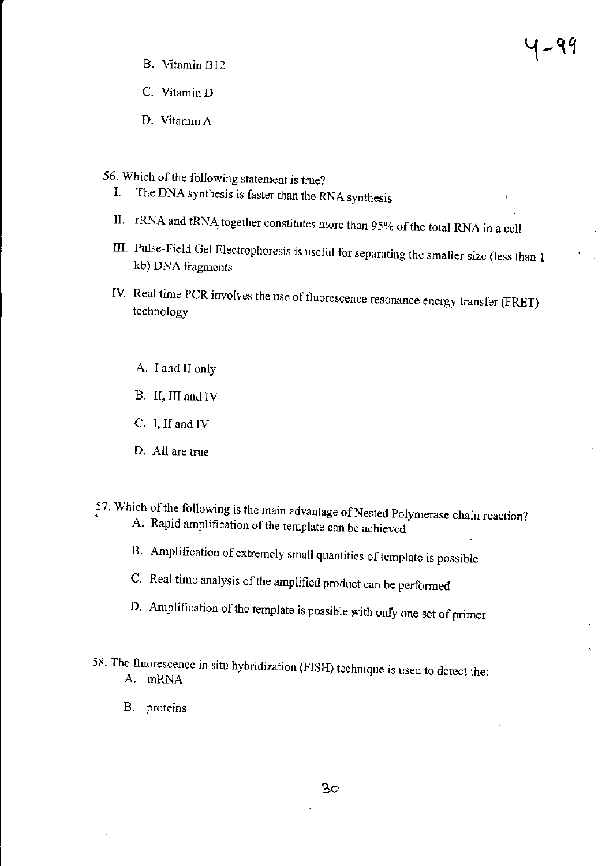- B. Vitamin B12
- C. Vitamin D
- D. Vitamin A
- 56. Which of the following statement is true?
	- I. The DNA synthesis is faster than the RNA synthesis
	- II. rRNA and tRNA together constitutes more than 95% of the total RNA in a cell
	- III. Pulse-Field Gel Electrophoresis is useful for separating the smaller size (less than I kb) DNA fragments

५-९१

- IV. Real time PCR involves the use of fluorescence resonance energy transfer (FRET) technology
	- A. I and II only
	- B. II, IIJ and IV
	- C. I, II and IV
	- D. All are true
- 57. Which of the following is the main advantage of Nested Polymerase chain reaction? A. Rapid amplification of the template can be achieved
	- B. Amplification of extremely small quantities of template is possible
	- C. Real time analysis of the amplified product can be performed
	- D. Amplification of the template is possible with *onty* one set of primer
- 58. The fluorescence in situ hybridization (FISH) technique is used to detect the: A. mRNA
	- B. proteins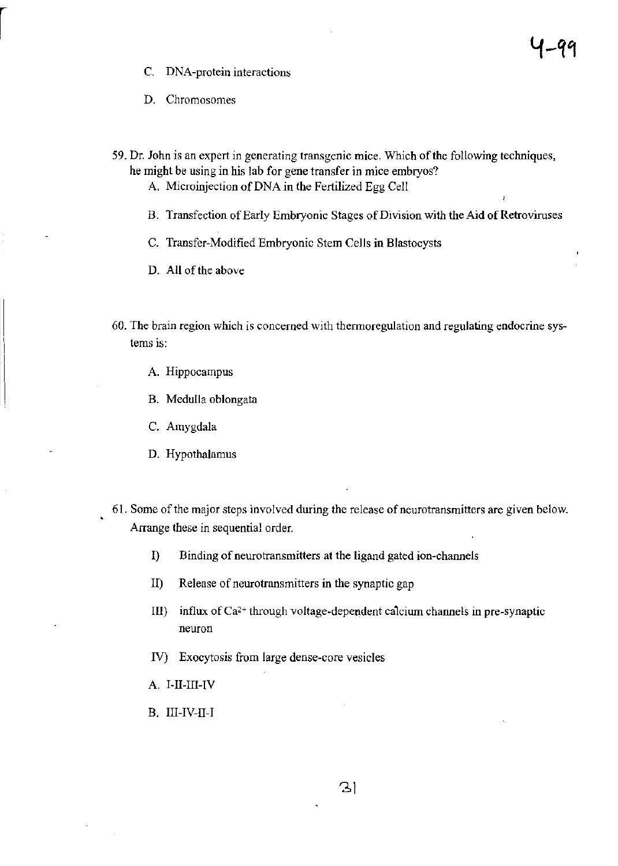- C. DNA-protein interactions
- D. Chromosomes
- 59. Dr. John is an expert in generating transgenic mice. Which of the following techniques, he might be using in his lab for gene transfer in mice embryos?
	- A. Microinjection of DNA in the Fertilized Egg Cell
	- B. Transfection of Early Embryonic Stages of Division with the Aid of Retroviruses

ł

- C. Transfer-Modified Embryonic Stem Cells in Blastocysts
- D. All of the above
- 60. The brain region which is concerned with thennoregulation and regulating endocrine systems is:
	- A. Hippocampus
	- B. Medulla oblongata
	- c. Amygdala
	- D. Hypothalamus
- 61. Some of the major steps involved during the release of neurotransmitters are given below. Arrange these in sequential order.
	- I) Binding of neurotransmitters at the ligand gated ion-channels
	- II) Release of neurotransmitters in the synaptic gap
	- III) influx of  $Ca^{2+}$  through voltage-dependent calcium channels in pre-synaptic neuron
	- N) Exocytosis from large dense-core vesicles
	- A. I-I1-lII-IV
	- B. 1II-IV-I1-1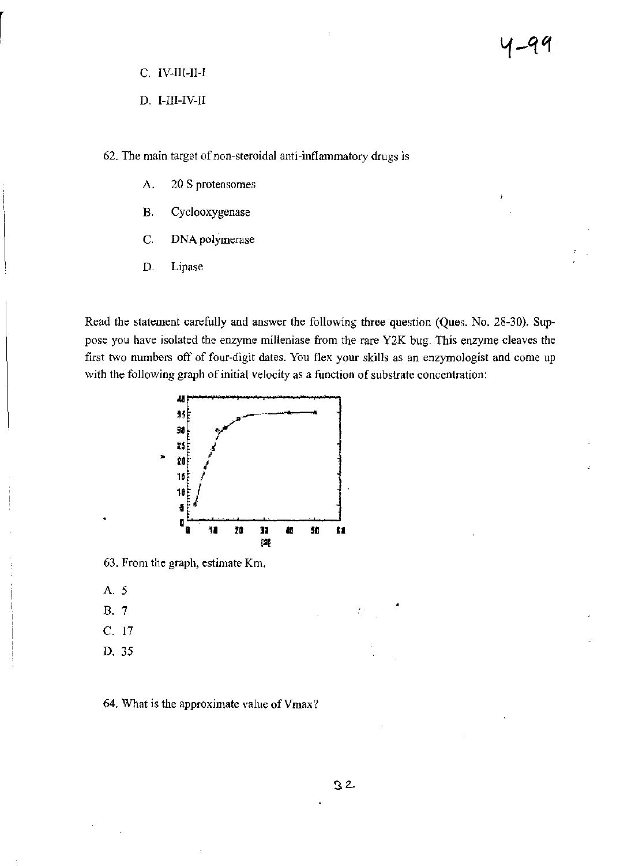- C. IV-lII-II-I
- D. I-III-IV-II
- 62. The main target of non-steroidal anti-inflammatory drugs is
	- A. 20 S proteasomes
	- B. Cyclooxygenase
	- C. DNA polymerase
	- D. Lipase

Read the statement carefully and answer the following three question (Ques. No. 28-30). Suppose you have isolated the enzyme milleniase from the rare Y2K bug. This enzyme cleaves the first two numbers off of four-digit dates. You flex your skills as an enzymologist and come up with the following graph of initial velocity as a function of substrate concentration:



63. From the graph, estimate Km.

- A. 5
- B. 7
- C. 17
- D. 35

64. What is the approximate value of Vmax?

怠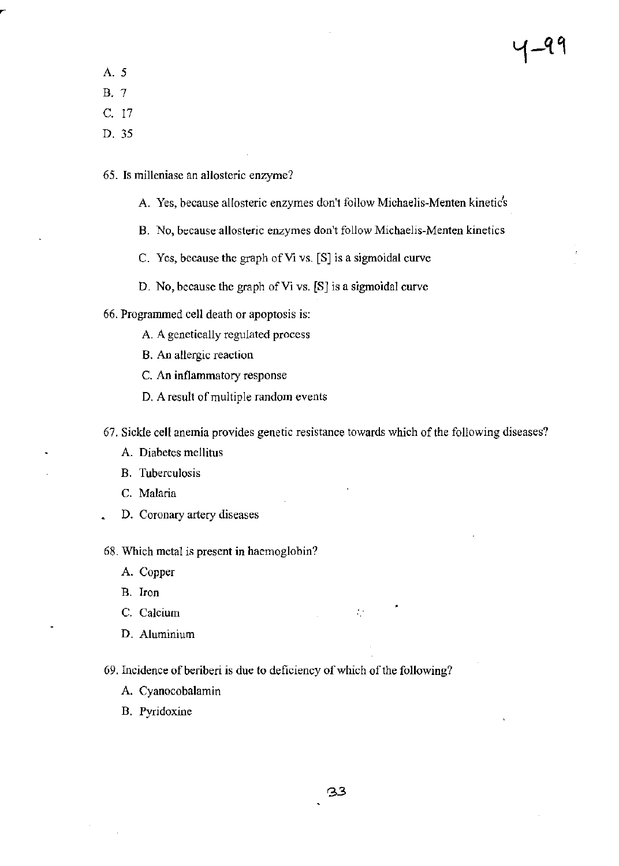- A. 5
- B. 7
- C. 17
- D.35
- 65. Is milleniase an allosteric enzyme?
	- A. Yes, because allosteric enzymes don't follow Michaelis-Menten kinetic's
	- B. No, because-allosteric enzymes don't follow Michaelis-Menten kinetics
	- C. Yes, because the graph of Vi VS. [S] is a sigmoidal curve
	- D. No, because the graph of Vi vs. (S] is a sigmoidal curve
- 66. Programmed cell death or apoptosis is:
	- A. A genetically regulated process
	- B. An allergic reaction
	- C. An inflammatory response
	- D. A result of multiple random events
- 67. Sickle cell anemia provides genetic resistance towards which of the following diseases?
	- A. Diabetes mellitus
	- B. Tuberculosis
	- C. Malaria
	- D. Coronary artery diseases

68. Which metal is present in haemoglobin?

- A. Copper
- B. Iron
- C. Calcium
- D. Aluminium
- 69. Incidence of beriberi is due to deficiency of which of the following?
	- A. Cyanocobalamin
	- B. Pyridoxine

 $\mathcal{L}^{\star}$